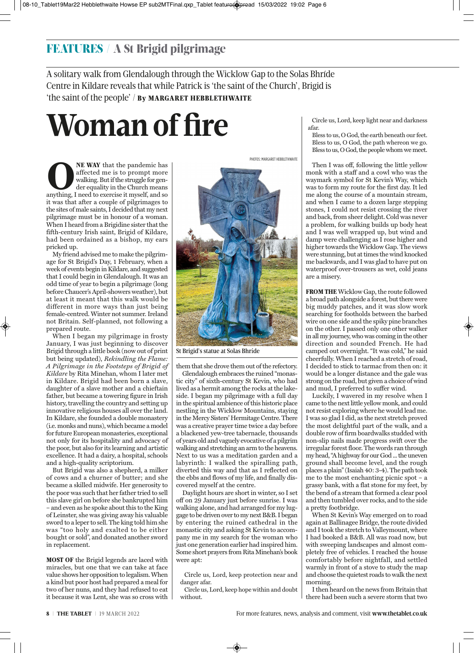## FEATURES / A St Brigid pilgrimage

A solitary walk from Glendalough through the Wicklow Gap to the Solas Bhríde Centre in Kildare reveals that while Patrick is 'the saint of the Church', Brigid is 'the saint of the people' / By MARGARET HEBBLETHWAITE

# **Woman of fire**

**CONET WAY** that the pandemic has affected me is to prompt more walking. But if the struggle for gender equality in the Church means anything, I need to exercise it myself, and so it was that after a couple of pilgrimages affected me is to prompt more walking. But if the struggle for gender equality in the Church means anything, I need to exercise it myself, and so it was that after a couple of pilgrimages to the sites of male saints, I decided that my next pilgrimage must be in honour of a woman. When I heard from a Brigidine sister that the fifth-century Irish saint, Brigid of Kildare, had been ordained as a bishop, my ears pricked up.

My friend advised me to make the pilgrimage for St Brigid's Day, 1 February, when a week of events begin in Kildare, and suggested that I could begin in Glendalough. It was an odd time of year to begin a pilgrimage (long before Chaucer's April-showers weather), but at least it meant that this walk would be different in more ways than just being female-centred. Winter not summer. Ireland not Britain. Self-planned, not following a prepared route.

When I began my pilgrimage in frosty January, I was just beginning to discover Brigid through a little book (now out of print but being updated), *Rekindling the Flame: A Pilgrimage in the Footsteps of Brigid of Kildare* by Rita Minehan, whom I later met in Kildare. Brigid had been born a slave, daughter of a slave mother and a chieftain father, but became a towering figure in Irish history, travelling the country and setting up innovative religious houses all over the land. In Kildare, she founded a double monastery (i.e. monks and nuns), which became a model for future European monasteries, exceptional not only for its hospitality and advocacy of the poor, but also for its learning and artistic excellence. It had a dairy, a hospital, schools and a high-quality scriptorium.

But Brigid was also a shepherd, a milker of cows and a churner of butter; and she became a skilled midwife. Her generosity to the poor was such that her father tried to sell this slave girl on before she bankrupted him – and even as he spoke about this to the King of Leinster, she was giving away his valuable sword to a leper to sell. The king told him she was "too holy and exalted to be either bought or sold", and donated another sword in replacement.

MOST OF the Brigid legends are laced with miracles, but one that we can take at face value shows her opposition to legalism. When a kind but poor host had prepared a meal for two of her nuns, and they had refused to eat it because it was Lent, she was so cross with

PHOTOS: MARGARET HEBBLETHWAITE

them that she drove them out of the refectory. Glendalough embraces the ruined "monastic city" of sixth-century St Kevin, who had lived as a hermit among the rocks at the lakeside. I began my pilgrimage with a full day in the spiritual ambience of this historic place nestling in the Wicklow Mountains, staying in the Mercy Sisters' Hermitage Centre. There was a creative prayer time twice a day before a blackened yew-tree tabernacle, thousands of years old and vaguely evocative of a pilgrim walking and stretching an arm to the heavens. Next to us was a meditation garden and a labyrinth: I walked the spiralling path, diverted this way and that as I reflected on the ebbs and flows of my life, and finally discovered myself at the centre.

Daylight hours are short in winter, so I set off on 29 January just before sunrise. I was walking alone, and had arranged for my luggage to be driven over to my next B&B. I began by entering the ruined cathedral in the monastic city and asking St Kevin to accompany me in my search for the woman who just one generation earlier had inspired him. Some short prayers from Rita Minehan's book were apt:

Circle us, Lord, keep protection near and danger afar.

Circle us, Lord, keep hope within and doubt without.

Circle us, Lord, keep light near and darkness afar.

Bless to us, O God, the earth beneath our feet. Bless to us, O God, the path whereon we go. Bless to us, O God, the people whom we meet.

Then I was off, following the little yellow monk with a staff and a cowl who was the waymark symbol for St Kevin's Way, which was to form my route for the first day. It led me along the course of a mountain stream, and when I came to a dozen large stepping stones, I could not resist crossing the river and back, from sheer delight. Cold was never a problem, for walking builds up body heat and I was well wrapped up, but wind and damp were challenging as I rose higher and higher towards the Wicklow Gap. The views were stunning, but at times the wind knocked me backwards, and I was glad to have put on waterproof over-trousers as wet, cold jeans are a misery.

FROM THE Wicklow Gap, the route followed a broad path alongside a forest, but there were big muddy patches, and it was slow work searching for footholds between the barbed wire on one side and the spiky pine branches on the other. I passed only one other walker in all my journey, who was coming in the other direction and sounded French. He had camped out overnight. "It was cold," he said cheerfully. When I reached a stretch of road, I decided to stick to tarmac from then on: it would be a longer distance and the gale was strong on the road, but given a choice of wind and mud, I preferred to suffer wind.

Luckily, I wavered in my resolve when I came to the next little yellow monk, and could not resist exploring where he would lead me. I was so glad I did, as the next stretch proved the most delightful part of the walk, and a double row of firm boardwalks studded with non-slip nails made progress swift over the irregular forest floor. The words ran through my head, "A highway for our God ... the uneven ground shall become level, and the rough places a plain" (Isaiah 40: 3-4). The path took me to the most enchanting picnic spot – a grassy bank, with a flat stone for my feet, by the bend of a stream that formed a clear pool and then tumbled over rocks, and to the side a pretty footbridge.

When St Kevin's Way emerged on to road again at Ballinagee Bridge, the route divided and I took the stretch to Valleymount, where I had booked a B&B. All was road now, but with sweeping landscapes and almost completely free of vehicles. I reached the house comfortably before nightfall, and settled warmly in front of a stove to study the map and choose the quietest roads to walk the next morning.

I then heard on the news from Britain that there had been such a severe storm that two

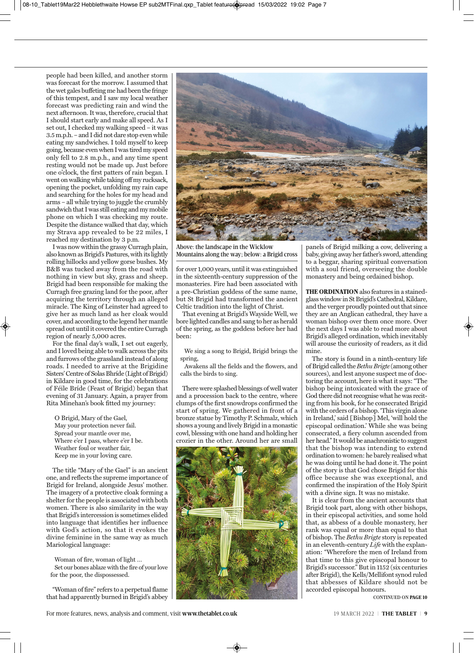people had been killed, and another storm was forecast for the morrow. I assumed that the wet gales buffeting me had been the fringe of this tempest, and I saw my local weather forecast was predicting rain and wind the next afternoon. It was, therefore, crucial that I should start early and make all speed. As I set out, I checked my walking speed – it was 3.5 m.p.h. – and I did not dare stop even while eating my sandwiches. I told myself to keep going, because even when I was tired my speed only fell to 2.8 m.p.h., and any time spent resting would not be made up. Just before one o'clock, the first patters of rain began. I went on walking while taking off my rucksack, opening the pocket, unfolding my rain cape and searching for the holes for my head and arms – all while trying to juggle the crumbly sandwich that I was still eating and my mobile phone on which I was checking my route. Despite the distance walked that day, which my Strava app revealed to be 22 miles, I reached my destination by 3 p.m.

I was now within the grassy Curragh plain, also known as Brigid's Pastures, with its lightly rolling hillocks and yellow gorse bushes. My B&B was tucked away from the road with nothing in view but sky, grass and sheep. Brigid had been responsible for making the Curragh free grazing land for the poor, after acquiring the territory through an alleged miracle. The King of Leinster had agreed to give her as much land as her cloak would cover, and according to the legend her mantle spread out until it covered the entire Curragh region of nearly 5,000 acres.

For the final day's walk, I set out eagerly, and I loved being able to walk across the pits and furrows of the grassland instead of along roads. I needed to arrive at the Brigidine Sisters' Centre of Solas Bhríde (Light of Brigid) in Kildare in good time, for the celebrations of Féile Bríde (Feast of Brigid) began that evening of 31 January. Again, a prayer from Rita Minehan's book fitted my journey:

O Brigid, Mary of the Gael, May your protection never fail. Spread your mantle over me, Where e'er I pass, where e'er I be. Weather foul or weather fair, Keep me in your loving care.

The title "Mary of the Gael" is an ancient one, and reflects the supreme importance of Brigid for Ireland, alongside Jesus' mother. The imagery of a protective cloak forming a shelter for the people is associated with both women. There is also similarity in the way that Brigid's intercession is sometimes elided into language that identifies her influence with God's action, so that it evokes the divine feminine in the same way as much Mariological language:

Woman of fire, woman of light … Set our bones ablaze with the fire of your love for the poor, the dispossessed.

"Woman of fire" refers to a perpetual flame that had apparently burned in Brigid's abbey



Above: the landscape in the Wicklow Mountains along the way; below: a Brigid cross

for over 1,000 years, until it was extinguished in the sixteenth-century suppression of the monasteries. Fire had been associated with a pre-Christian goddess of the same name, but St Brigid had transformed the ancient Celtic tradition into the light of Christ.

That evening at Brigid's Wayside Well, we bore lighted candles and sang to her as herald of the spring, as the goddess before her had been:

We sing a song to Brigid, Brigid brings the spring,

Awakens all the fields and the flowers, and calls the birds to sing.

There were splashed blessings of well water and a procession back to the centre, where clumps of the first snowdrops confirmed the start of spring. We gathered in front of a bronze statue by Timothy P. Schmalz, which shows a young and lively Brigid in a monastic cowl, blessing with one hand and holding her crozier in the other. Around her are small



panels of Brigid milking a cow, delivering a baby, giving away her father's sword, attending to a beggar, sharing spiritual conversation with a soul friend, overseeing the double monastery and being ordained bishop.

THE ORDINATION also features in a stainedglass window in St Brigid's Cathedral, Kildare, and the verger proudly pointed out that since they are an Anglican cathedral, they have a woman bishop over them once more. Over the next days I was able to read more about Brigid's alleged ordination, which inevitably will arouse the curiosity of readers, as it did mine.

The story is found in a ninth-century life of Brigid called the *Bethu Brigte* (among other sources), and lest anyone suspect me of doctoring the account, here is what it says: "The bishop being intoxicated with the grace of God there did not recognise what he was reciting from his book, for he consecrated Brigid with the orders of a bishop. 'This virgin alone in Ireland,' said [Bishop] Mel, 'will hold the episcopal ordination.' While she was being consecrated, a fiery column ascended from her head." It would be anachronistic to suggest that the bishop was intending to extend ordination to women: he barely realised what he was doing until he had done it. The point of the story is that God chose Brigid for this office because she was exceptional, and confirmed the inspiration of the Holy Spirit with a divine sign. It was no mistake.

It is clear from the ancient accounts that Brigid took part, along with other bishops, in their episcopal activities, and some hold that, as abbess of a double monastery, her rank was equal or more than equal to that of bishop. The *Bethu Brigte* story is repeated in an eleventh-century *Life* with the explan ation: "Wherefore the men of Ireland from that time to this give episcopal honour to Brigid's successor." But in 1152 (six centuries after Brigid), the Kells/Mellifont synod ruled that abbesses of Kildare should not be accorded episcopal honours.

CONTINUED ON PAGE 10